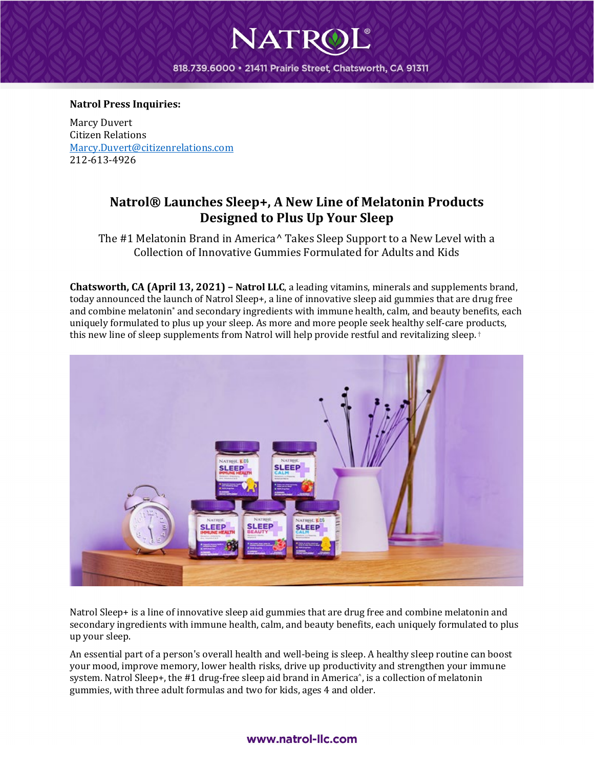## 818.739.6000 · 21411 Prairie Street, Chatsworth, CA 91311

NATR

#### **Natrol Press Inquiries:**

Marcy Duvert Citizen Relations [Marcy.Duvert@citizenrelations.com](mailto:Marcy.Duvert@citizenrelations.com) 212-613-4926

# **Natrol® Launches Sleep+, A New Line of Melatonin Products Designed to Plus Up Your Sleep**

The #1 Melatonin Brand in America^ Takes Sleep Support to a New Level with a Collection of Innovative Gummies Formulated for Adults and Kids

**Chatsworth, CA (April 13, 2021) – Natrol LLC**, a leading vitamins, minerals and supplements brand, today announced the launch of Natrol Sleep+, a line of innovative sleep aid gummies that are drug free and combine melatonin\* and secondary ingredients with immune health, calm, and beauty benefits, each uniquely formulated to plus up your sleep. As more and more people seek healthy self-care products, this new line of sleep supplements from Natrol will help provide restful and revitalizing sleep.<sup>†</sup>



Natrol Sleep+ is a line of innovative sleep aid gummies that are drug free and combine melatonin and secondary ingredients with immune health, calm, and beauty benefits, each uniquely formulated to plus up your sleep.

An essential part of a person's overall health and well-being is sleep. A healthy sleep routine can boost your mood, improve memory, lower health risks, drive up productivity and strengthen your immune system. Natrol Sleep+, the #1 drug-free sleep aid brand in America<sup>^</sup>, is a collection of melatonin gummies, with three adult formulas and two for kids, ages 4 and older.

### www.natrol-llc.com